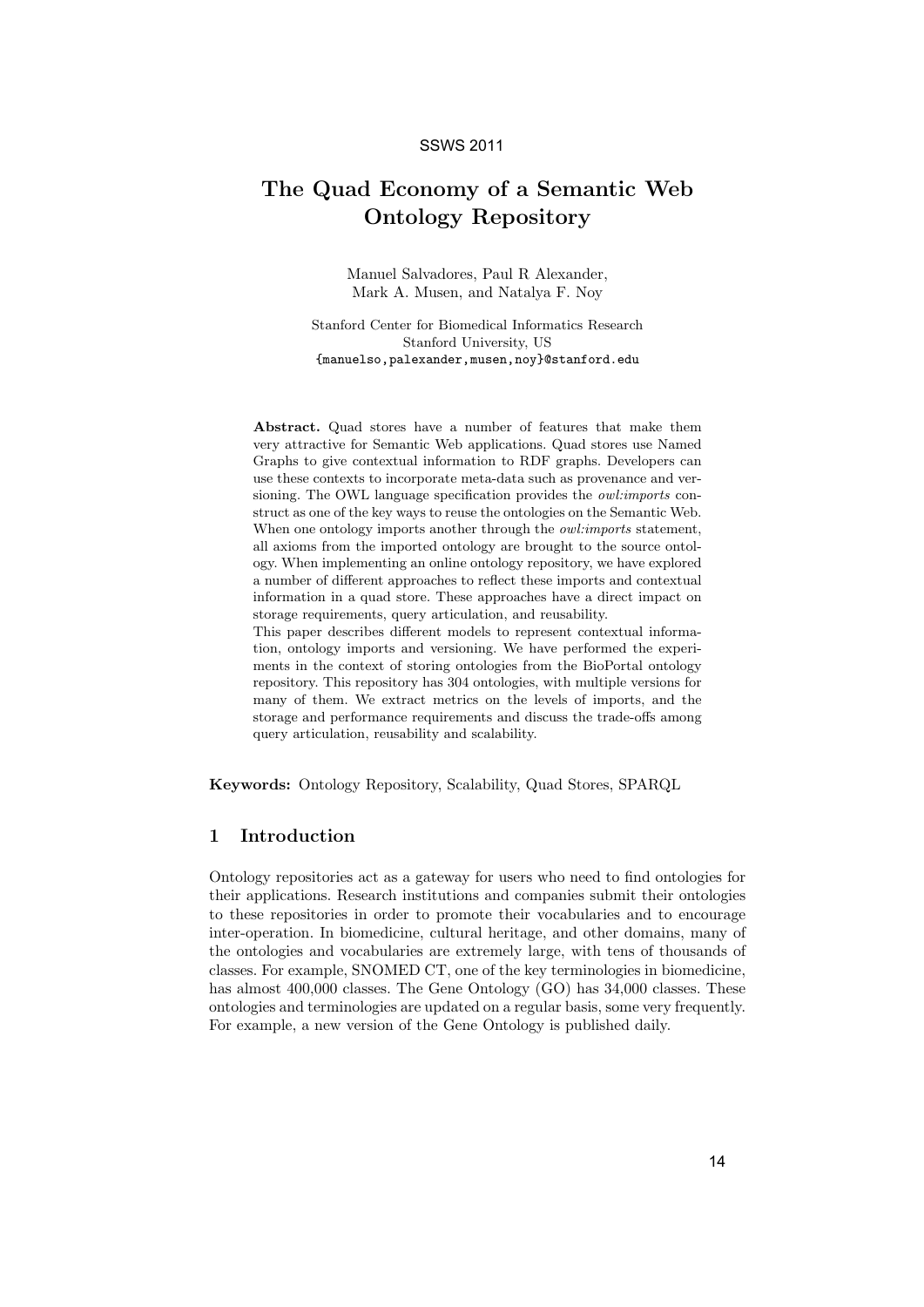# The Quad Economy of a Semantic Web Ontology Repository

Manuel Salvadores, Paul R Alexander, Mark A. Musen, and Natalya F. Noy

Stanford Center for Biomedical Informatics Research Stanford University, US {manuelso,palexander,musen,noy}@stanford.edu

Abstract. Quad stores have a number of features that make them very attractive for Semantic Web applications. Quad stores use Named Graphs to give contextual information to RDF graphs. Developers can use these contexts to incorporate meta-data such as provenance and versioning. The OWL language specification provides the owl:imports construct as one of the key ways to reuse the ontologies on the Semantic Web. When one ontology imports another through the *owl:imports* statement, all axioms from the imported ontology are brought to the source ontology. When implementing an online ontology repository, we have explored a number of different approaches to reflect these imports and contextual information in a quad store. These approaches have a direct impact on storage requirements, query articulation, and reusability. This paper describes different models to represent contextual informa-

tion, ontology imports and versioning. We have performed the experiments in the context of storing ontologies from the BioPortal ontology repository. This repository has 304 ontologies, with multiple versions for many of them. We extract metrics on the levels of imports, and the storage and performance requirements and discuss the trade-offs among query articulation, reusability and scalability.

Keywords: Ontology Repository, Scalability, Quad Stores, SPARQL

#### 1 Introduction

Ontology repositories act as a gateway for users who need to find ontologies for their applications. Research institutions and companies submit their ontologies to these repositories in order to promote their vocabularies and to encourage inter-operation. In biomedicine, cultural heritage, and other domains, many of the ontologies and vocabularies are extremely large, with tens of thousands of classes. For example, SNOMED CT, one of the key terminologies in biomedicine, has almost 400,000 classes. The Gene Ontology (GO) has 34,000 classes. These ontologies and terminologies are updated on a regular basis, some very frequently. For example, a new version of the Gene Ontology is published daily.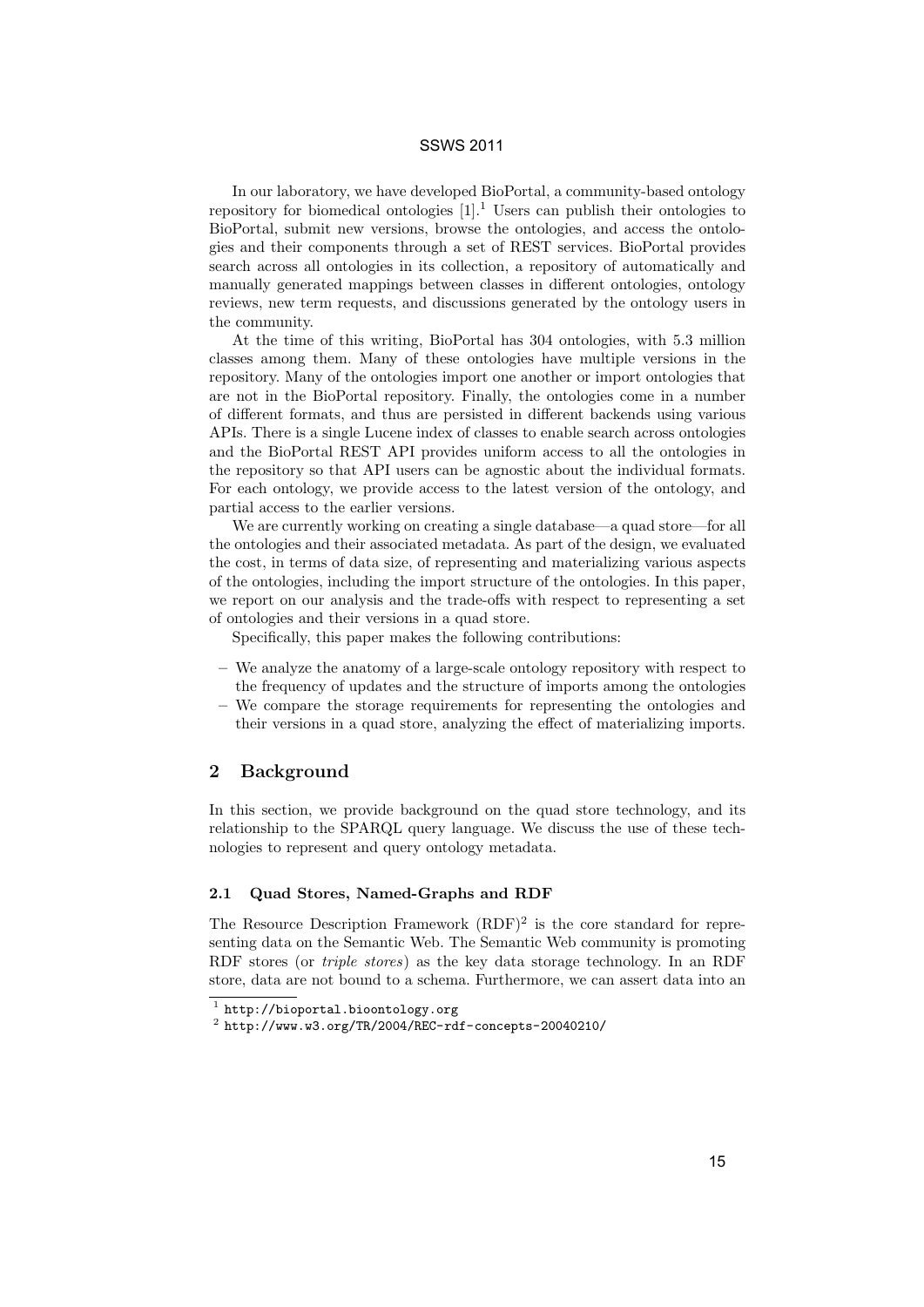In our laboratory, we have developed BioPortal, a community-based ontology repository for biomedical ontologies  $[1]$ .<sup>1</sup> Users can publish their ontologies to BioPortal, submit new versions, browse the ontologies, and access the ontologies and their components through a set of REST services. BioPortal provides search across all ontologies in its collection, a repository of automatically and manually generated mappings between classes in different ontologies, ontology reviews, new term requests, and discussions generated by the ontology users in the community.

At the time of this writing, BioPortal has 304 ontologies, with 5.3 million classes among them. Many of these ontologies have multiple versions in the repository. Many of the ontologies import one another or import ontologies that are not in the BioPortal repository. Finally, the ontologies come in a number of different formats, and thus are persisted in different backends using various APIs. There is a single Lucene index of classes to enable search across ontologies and the BioPortal REST API provides uniform access to all the ontologies in the repository so that API users can be agnostic about the individual formats. For each ontology, we provide access to the latest version of the ontology, and partial access to the earlier versions.

We are currently working on creating a single database—a quad store—for all the ontologies and their associated metadata. As part of the design, we evaluated the cost, in terms of data size, of representing and materializing various aspects of the ontologies, including the import structure of the ontologies. In this paper, we report on our analysis and the trade-offs with respect to representing a set of ontologies and their versions in a quad store.

Specifically, this paper makes the following contributions:

- We analyze the anatomy of a large-scale ontology repository with respect to the frequency of updates and the structure of imports among the ontologies
- We compare the storage requirements for representing the ontologies and their versions in a quad store, analyzing the effect of materializing imports.

# 2 Background

In this section, we provide background on the quad store technology, and its relationship to the SPARQL query language. We discuss the use of these technologies to represent and query ontology metadata.

#### 2.1 Quad Stores, Named-Graphs and RDF

The Resource Description Framework  $(RDF)^2$  is the core standard for representing data on the Semantic Web. The Semantic Web community is promoting RDF stores (or *triple stores*) as the key data storage technology. In an RDF store, data are not bound to a schema. Furthermore, we can assert data into an

 $^1$  http://bioportal.bioontology.org

 $^2$  http://www.w3.org/TR/2004/REC-rdf-concepts-20040210/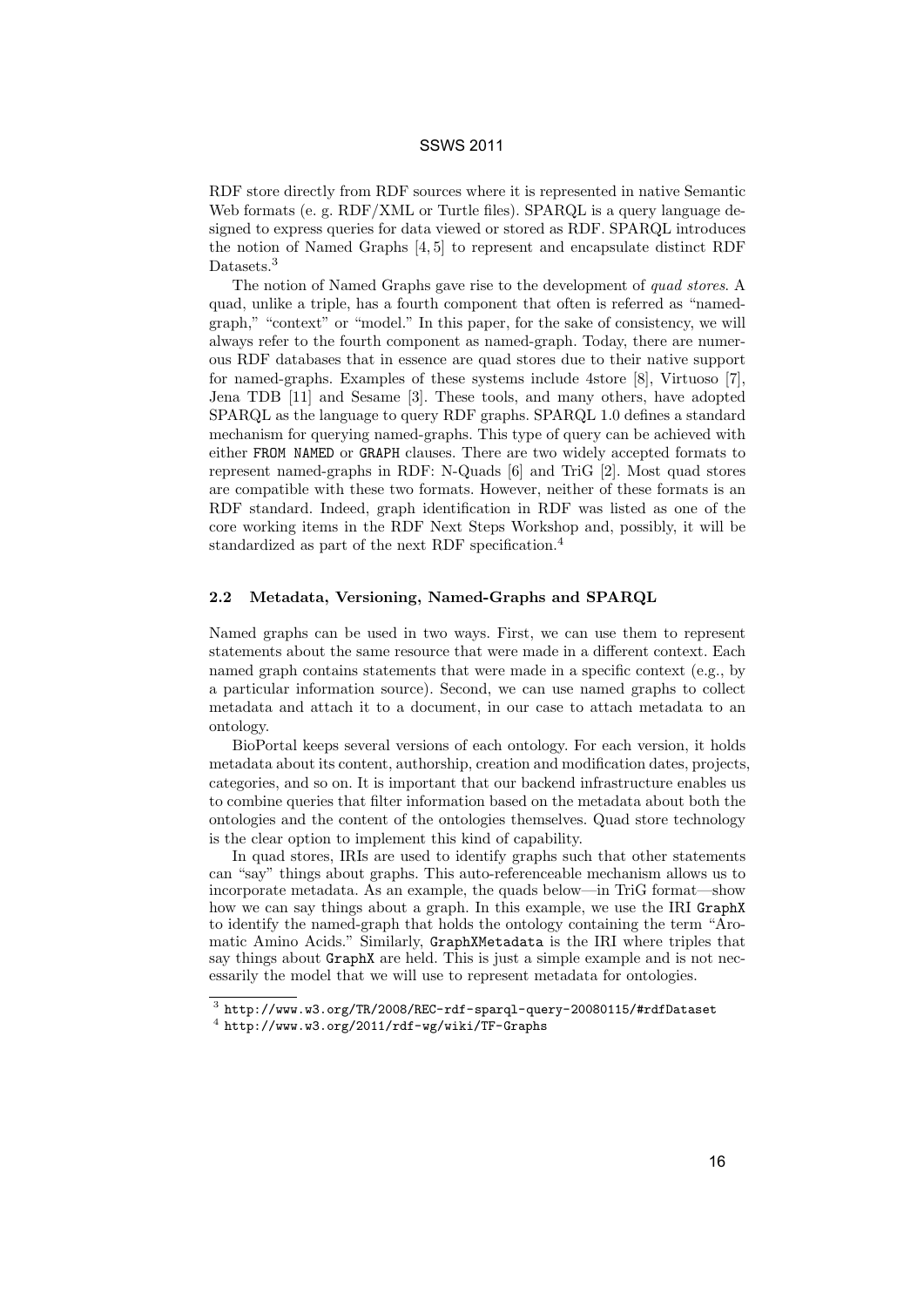RDF store directly from RDF sources where it is represented in native Semantic Web formats (e. g. RDF/XML or Turtle files). SPARQL is a query language designed to express queries for data viewed or stored as RDF. SPARQL introduces the notion of Named Graphs [4, 5] to represent and encapsulate distinct RDF Datasets.<sup>3</sup>

The notion of Named Graphs gave rise to the development of quad stores. A quad, unlike a triple, has a fourth component that often is referred as "namedgraph," "context" or "model." In this paper, for the sake of consistency, we will always refer to the fourth component as named-graph. Today, there are numerous RDF databases that in essence are quad stores due to their native support for named-graphs. Examples of these systems include 4store [8], Virtuoso [7], Jena TDB [11] and Sesame [3]. These tools, and many others, have adopted SPARQL as the language to query RDF graphs. SPARQL 1.0 defines a standard mechanism for querying named-graphs. This type of query can be achieved with either FROM NAMED or GRAPH clauses. There are two widely accepted formats to represent named-graphs in RDF: N-Quads [6] and TriG [2]. Most quad stores are compatible with these two formats. However, neither of these formats is an RDF standard. Indeed, graph identification in RDF was listed as one of the core working items in the RDF Next Steps Workshop and, possibly, it will be standardized as part of the next RDF specification.<sup>4</sup>

#### 2.2 Metadata, Versioning, Named-Graphs and SPARQL

Named graphs can be used in two ways. First, we can use them to represent statements about the same resource that were made in a different context. Each named graph contains statements that were made in a specific context (e.g., by a particular information source). Second, we can use named graphs to collect metadata and attach it to a document, in our case to attach metadata to an ontology.

BioPortal keeps several versions of each ontology. For each version, it holds metadata about its content, authorship, creation and modification dates, projects, categories, and so on. It is important that our backend infrastructure enables us to combine queries that filter information based on the metadata about both the ontologies and the content of the ontologies themselves. Quad store technology is the clear option to implement this kind of capability.

In quad stores, IRIs are used to identify graphs such that other statements can "say" things about graphs. This auto-referenceable mechanism allows us to incorporate metadata. As an example, the quads below—in TriG format—show how we can say things about a graph. In this example, we use the IRI GraphX to identify the named-graph that holds the ontology containing the term "Aromatic Amino Acids." Similarly, GraphXMetadata is the IRI where triples that say things about GraphX are held. This is just a simple example and is not necessarily the model that we will use to represent metadata for ontologies.

 $^3$  http://www.w3.org/TR/2008/REC-rdf-sparql-query-20080115/#rdfDataset

 $^4$  http://www.w3.org/2011/rdf-wg/wiki/TF-Graphs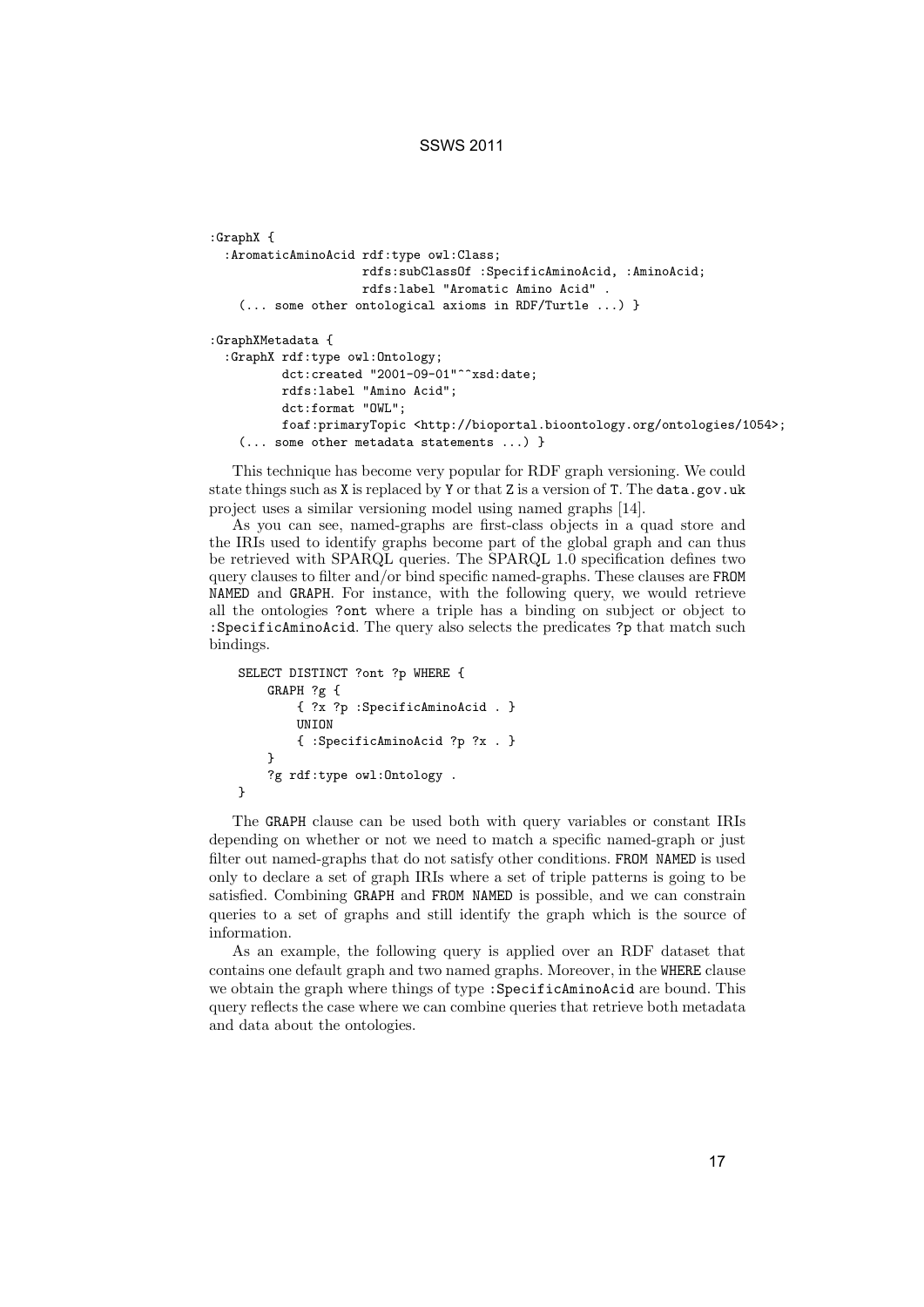```
:GraphX {
  :AromaticAminoAcid rdf:type owl:Class;
                    rdfs:subClassOf :SpecificAminoAcid, :AminoAcid;
                    rdfs:label "Aromatic Amino Acid" .
    (... some other ontological axioms in RDF/Turtle ...) }
:GraphXMetadata {
  :GraphX rdf:type owl:Ontology;
         dct:created "2001-09-01"^^xsd:date;
         rdfs:label "Amino Acid";
         dct:format "OWL";
         foaf:primaryTopic <http://bioportal.bioontology.org/ontologies/1054>;
   (... some other metadata statements ...) }
```
This technique has become very popular for RDF graph versioning. We could state things such as X is replaced by Y or that Z is a version of T. The data.gov.uk project uses a similar versioning model using named graphs [14].

As you can see, named-graphs are first-class objects in a quad store and the IRIs used to identify graphs become part of the global graph and can thus be retrieved with SPARQL queries. The SPARQL 1.0 specification defines two query clauses to filter and/or bind specific named-graphs. These clauses are FROM NAMED and GRAPH. For instance, with the following query, we would retrieve all the ontologies ?ont where a triple has a binding on subject or object to :SpecificAminoAcid. The query also selects the predicates ?p that match such bindings.

```
SELECT DISTINCT ?ont ?p WHERE {
   GRAPH ?g {
        { ?x ?p :SpecificAminoAcid . }
        UNION
        { :SpecificAminoAcid ?p ?x . }
    }
    ?g rdf:type owl:Ontology .
}
```
The GRAPH clause can be used both with query variables or constant IRIs depending on whether or not we need to match a specific named-graph or just filter out named-graphs that do not satisfy other conditions. FROM NAMED is used only to declare a set of graph IRIs where a set of triple patterns is going to be satisfied. Combining GRAPH and FROM NAMED is possible, and we can constrain queries to a set of graphs and still identify the graph which is the source of information.

As an example, the following query is applied over an RDF dataset that contains one default graph and two named graphs. Moreover, in the WHERE clause we obtain the graph where things of type :SpecificAminoAcid are bound. This query reflects the case where we can combine queries that retrieve both metadata and data about the ontologies.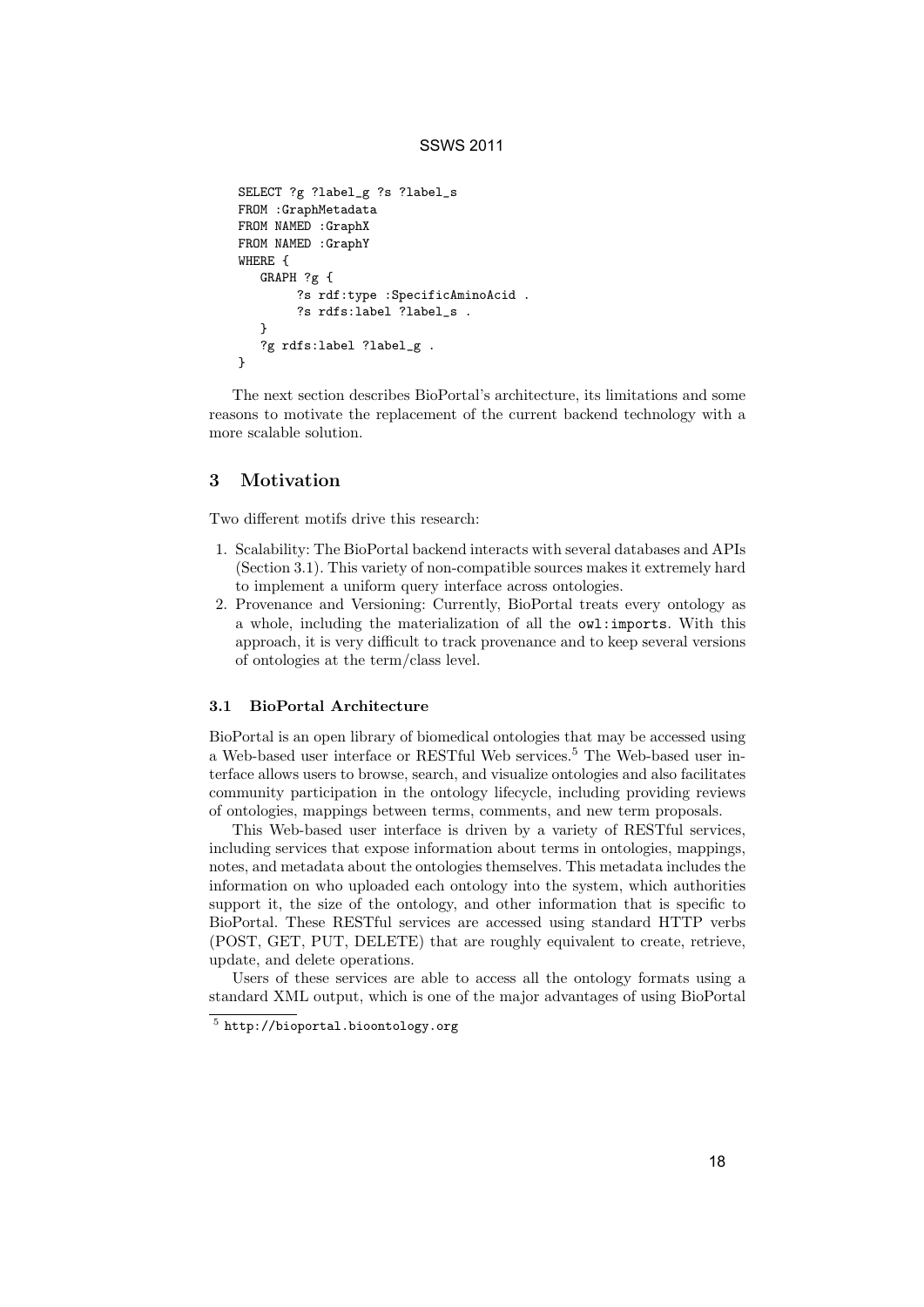```
SELECT ?g ?label_g ?s ?label_s
FROM :GraphMetadata
FROM NAMED :GraphX
FROM NAMED :GraphY
WHERE {
  GRAPH ?g {
        ?s rdf:type :SpecificAminoAcid .
        ?s rdfs:label ?label_s .
  }
   ?g rdfs:label ?label_g .
}
```
The next section describes BioPortal's architecture, its limitations and some reasons to motivate the replacement of the current backend technology with a more scalable solution.

# 3 Motivation

Two different motifs drive this research:

- 1. Scalability: The BioPortal backend interacts with several databases and APIs (Section 3.1). This variety of non-compatible sources makes it extremely hard to implement a uniform query interface across ontologies.
- 2. Provenance and Versioning: Currently, BioPortal treats every ontology as a whole, including the materialization of all the owl:imports. With this approach, it is very difficult to track provenance and to keep several versions of ontologies at the term/class level.

#### 3.1 BioPortal Architecture

BioPortal is an open library of biomedical ontologies that may be accessed using a Web-based user interface or RESTful Web services.<sup>5</sup> The Web-based user interface allows users to browse, search, and visualize ontologies and also facilitates community participation in the ontology lifecycle, including providing reviews of ontologies, mappings between terms, comments, and new term proposals.

This Web-based user interface is driven by a variety of RESTful services, including services that expose information about terms in ontologies, mappings, notes, and metadata about the ontologies themselves. This metadata includes the information on who uploaded each ontology into the system, which authorities support it, the size of the ontology, and other information that is specific to BioPortal. These RESTful services are accessed using standard HTTP verbs (POST, GET, PUT, DELETE) that are roughly equivalent to create, retrieve, update, and delete operations.

Users of these services are able to access all the ontology formats using a standard XML output, which is one of the major advantages of using BioPortal

 $^5$  http://bioportal.bioontology.org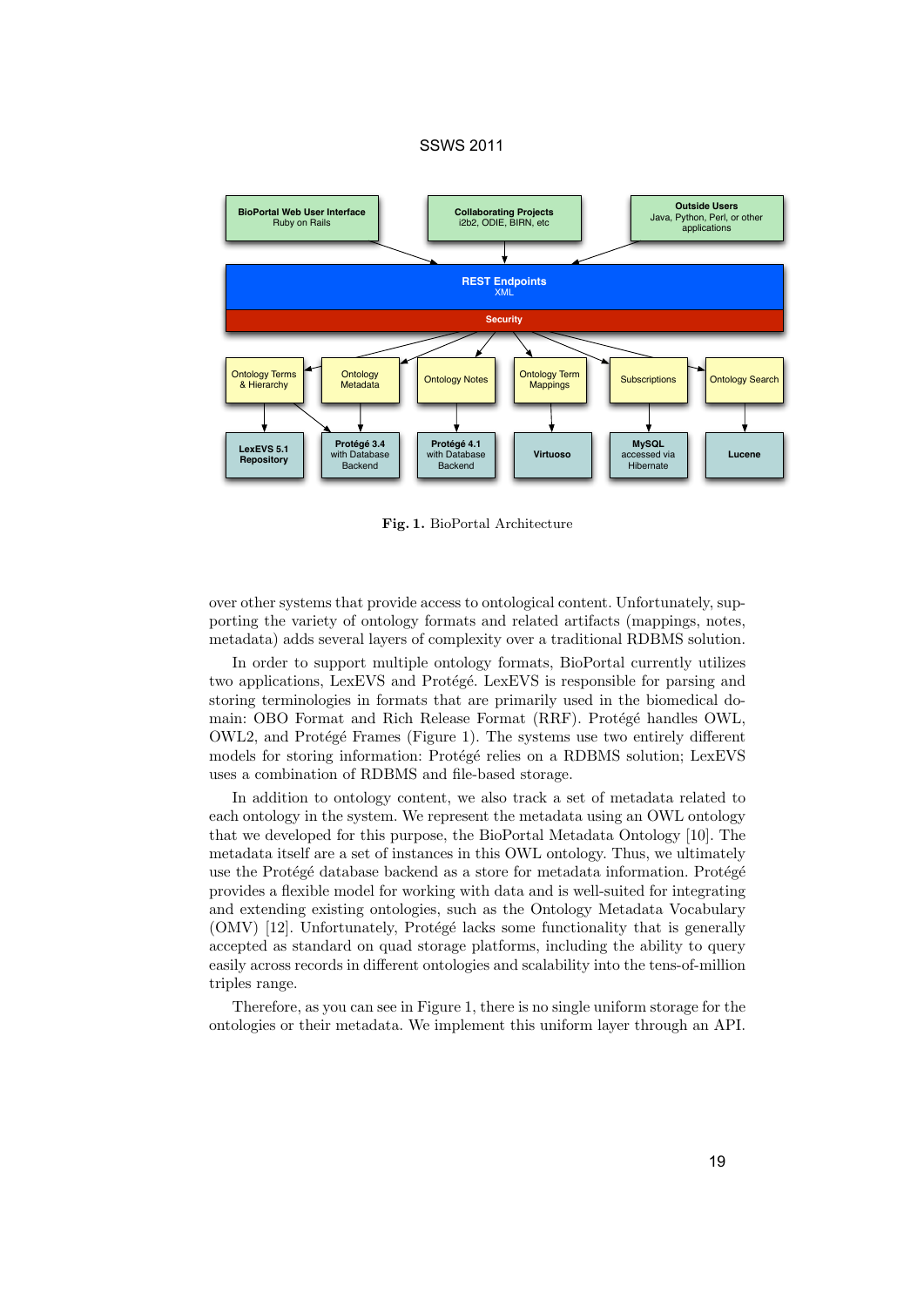

Fig. 1. BioPortal Architecture

over other systems that provide access to ontological content. Unfortunately, supporting the variety of ontology formats and related artifacts (mappings, notes, metadata) adds several layers of complexity over a traditional RDBMS solution.

In order to support multiple ontology formats, BioPortal currently utilizes two applications, LexEVS and Protégé. LexEVS is responsible for parsing and storing terminologies in formats that are primarily used in the biomedical domain: OBO Format and Rich Release Format (RRF). Protégé handles OWL, OWL2, and Protégé Frames (Figure 1). The systems use two entirely different models for storing information: Protégé relies on a RDBMS solution; LexEVS uses a combination of RDBMS and file-based storage.

In addition to ontology content, we also track a set of metadata related to each ontology in the system. We represent the metadata using an OWL ontology that we developed for this purpose, the BioPortal Metadata Ontology [10]. The metadata itself are a set of instances in this OWL ontology. Thus, we ultimately use the Protégé database backend as a store for metadata information. Protégé provides a flexible model for working with data and is well-suited for integrating and extending existing ontologies, such as the Ontology Metadata Vocabulary  $(OMV)$  [12]. Unfortunately, Protégé lacks some functionality that is generally accepted as standard on quad storage platforms, including the ability to query easily across records in different ontologies and scalability into the tens-of-million triples range.

Therefore, as you can see in Figure 1, there is no single uniform storage for the ontologies or their metadata. We implement this uniform layer through an API.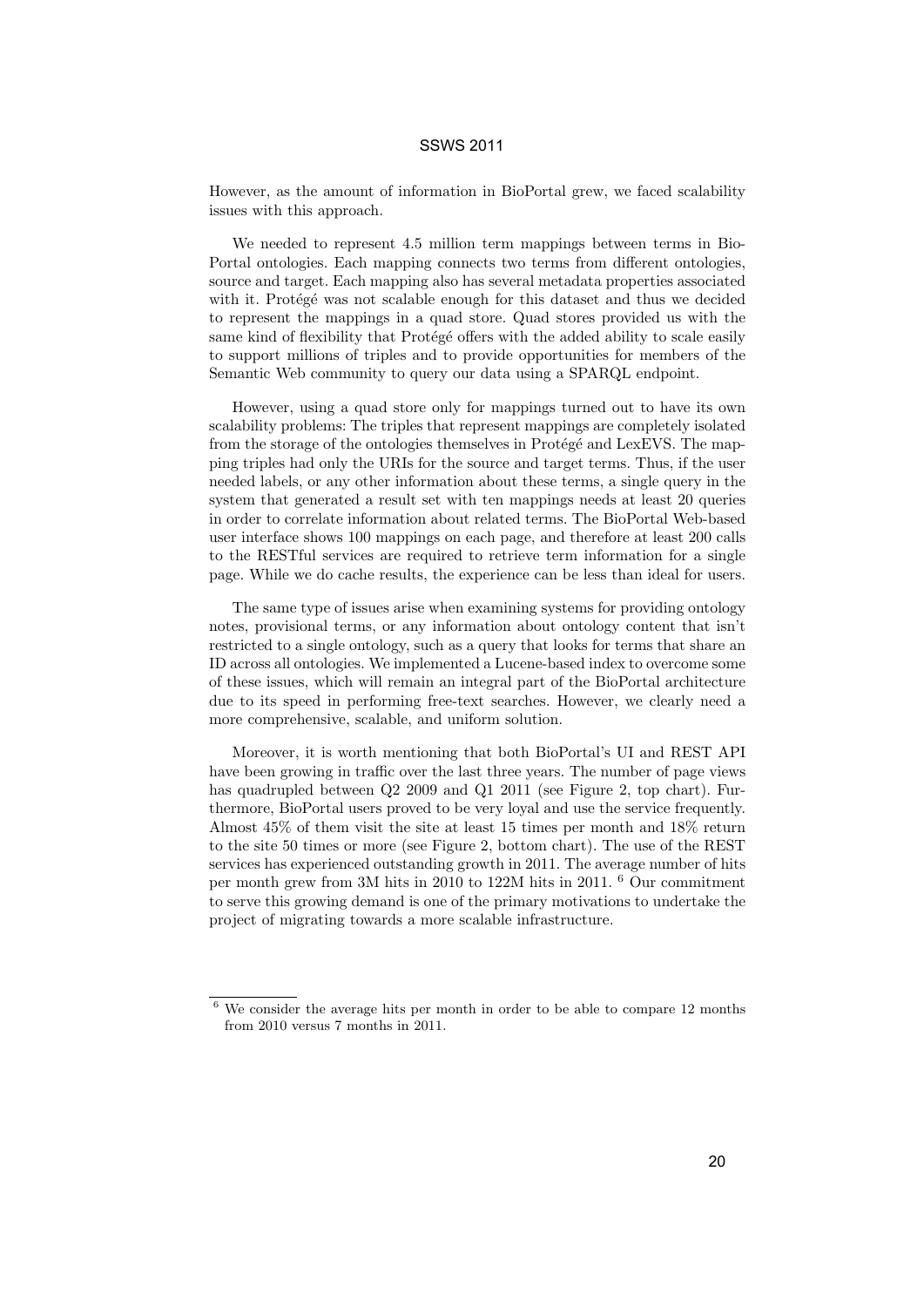However, as the amount of information in BioPortal grew, we faced scalability issues with this approach.

We needed to represent 4.5 million term mappings between terms in Bio-Portal ontologies. Each mapping connects two terms from different ontologies, source and target. Each mapping also has several metadata properties associated with it. Protégé was not scalable enough for this dataset and thus we decided to represent the mappings in a quad store. Quad stores provided us with the same kind of flexibility that Protégé offers with the added ability to scale easily to support millions of triples and to provide opportunities for members of the Semantic Web community to query our data using a SPARQL endpoint.

However, using a quad store only for mappings turned out to have its own scalability problems: The triples that represent mappings are completely isolated from the storage of the ontologies themselves in Protégé and LexEVS. The mapping triples had only the URIs for the source and target terms. Thus, if the user needed labels, or any other information about these terms, a single query in the system that generated a result set with ten mappings needs at least 20 queries in order to correlate information about related terms. The BioPortal Web-based user interface shows 100 mappings on each page, and therefore at least 200 calls to the RESTful services are required to retrieve term information for a single page. While we do cache results, the experience can be less than ideal for users.

The same type of issues arise when examining systems for providing ontology notes, provisional terms, or any information about ontology content that isn't restricted to a single ontology, such as a query that looks for terms that share an ID across all ontologies. We implemented a Lucene-based index to overcome some of these issues, which will remain an integral part of the BioPortal architecture due to its speed in performing free-text searches. However, we clearly need a more comprehensive, scalable, and uniform solution.

Moreover, it is worth mentioning that both BioPortal's UI and REST API have been growing in traffic over the last three years. The number of page views has quadrupled between Q2 2009 and Q1 2011 (see Figure 2, top chart). Furthermore, BioPortal users proved to be very loyal and use the service frequently. Almost 45% of them visit the site at least 15 times per month and 18% return to the site 50 times or more (see Figure 2, bottom chart). The use of the REST services has experienced outstanding growth in 2011. The average number of hits per month grew from 3M hits in 2010 to 122M hits in 2011. <sup>6</sup> Our commitment to serve this growing demand is one of the primary motivations to undertake the project of migrating towards a more scalable infrastructure.

 $6$  We consider the average hits per month in order to be able to compare 12 months from 2010 versus 7 months in 2011.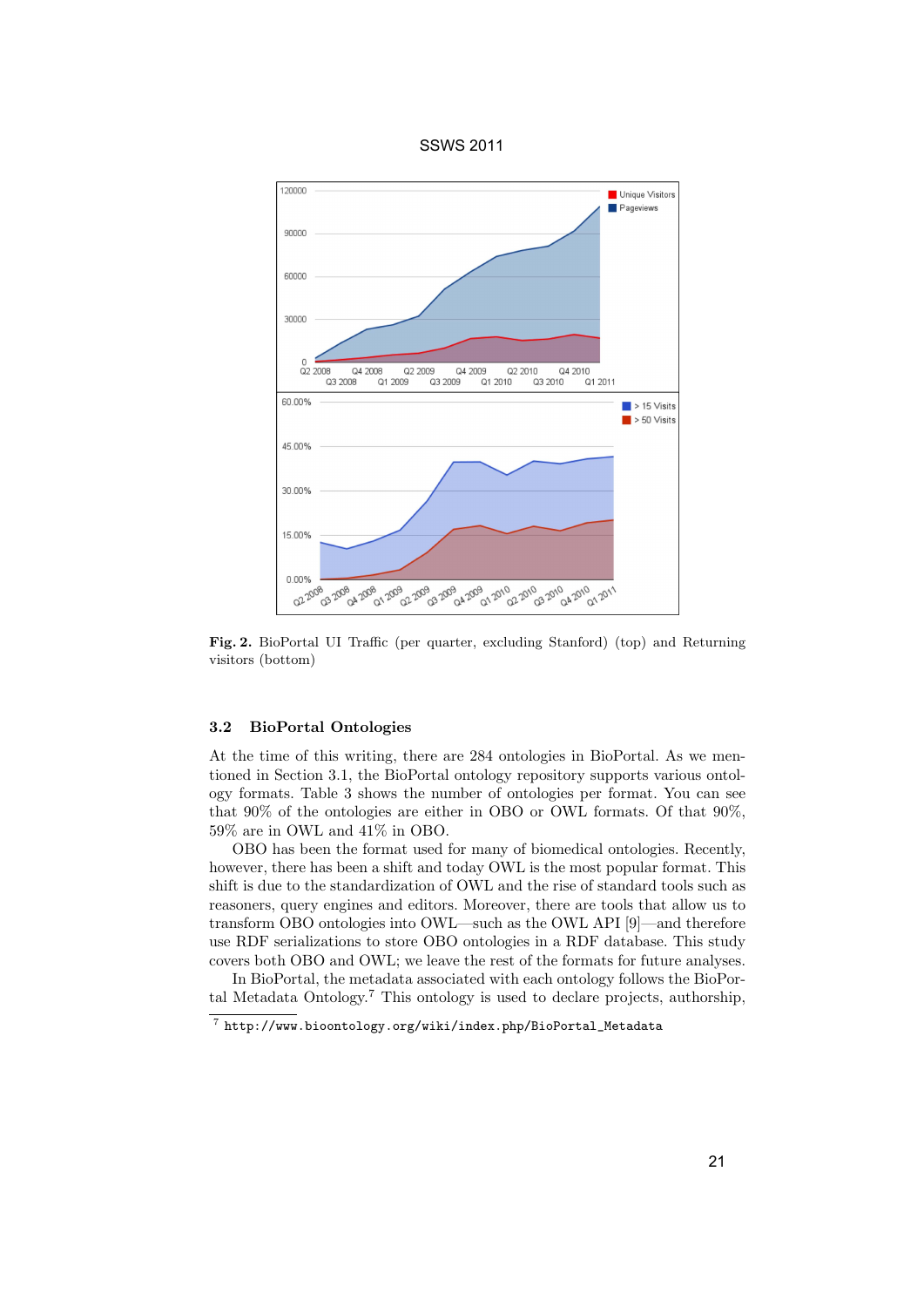



Fig. 2. BioPortal UI Traffic (per quarter, excluding Stanford) (top) and Returning visitors (bottom)

#### 3.2 BioPortal Ontologies

At the time of this writing, there are 284 ontologies in BioPortal. As we mentioned in Section 3.1, the BioPortal ontology repository supports various ontology formats. Table 3 shows the number of ontologies per format. You can see that 90% of the ontologies are either in OBO or OWL formats. Of that 90%, 59% are in OWL and 41% in OBO.

OBO has been the format used for many of biomedical ontologies. Recently, however, there has been a shift and today OWL is the most popular format. This shift is due to the standardization of OWL and the rise of standard tools such as reasoners, query engines and editors. Moreover, there are tools that allow us to transform OBO ontologies into OWL—such as the OWL API [9]—and therefore use RDF serializations to store OBO ontologies in a RDF database. This study covers both OBO and OWL; we leave the rest of the formats for future analyses.

In BioPortal, the metadata associated with each ontology follows the BioPortal Metadata Ontology.<sup>7</sup> This ontology is used to declare projects, authorship,

 $^7$  http://www.bioontology.org/wiki/index.php/BioPortal\_Metadata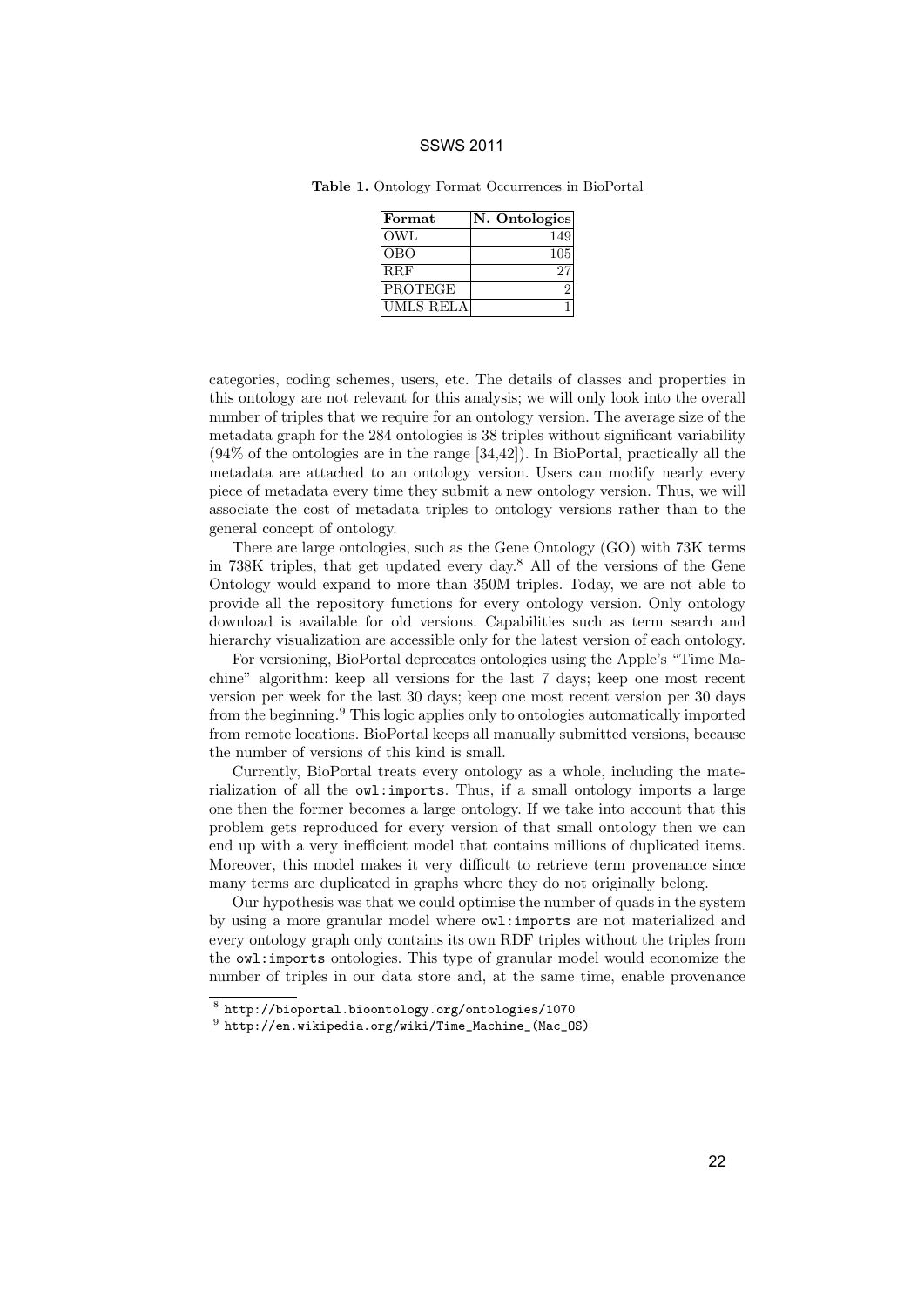| Format           | N. Ontologies |
|------------------|---------------|
| OWL              | 149           |
| OBO              | 105           |
| <b>RRF</b>       |               |
| PROTEGE          |               |
| <b>UMLS-RELA</b> |               |

Table 1. Ontology Format Occurrences in BioPortal

categories, coding schemes, users, etc. The details of classes and properties in this ontology are not relevant for this analysis; we will only look into the overall number of triples that we require for an ontology version. The average size of the metadata graph for the 284 ontologies is 38 triples without significant variability (94% of the ontologies are in the range [34,42]). In BioPortal, practically all the metadata are attached to an ontology version. Users can modify nearly every piece of metadata every time they submit a new ontology version. Thus, we will associate the cost of metadata triples to ontology versions rather than to the general concept of ontology.

There are large ontologies, such as the Gene Ontology (GO) with 73K terms in 738K triples, that get updated every day.<sup>8</sup> All of the versions of the Gene Ontology would expand to more than 350M triples. Today, we are not able to provide all the repository functions for every ontology version. Only ontology download is available for old versions. Capabilities such as term search and hierarchy visualization are accessible only for the latest version of each ontology.

For versioning, BioPortal deprecates ontologies using the Apple's "Time Machine" algorithm: keep all versions for the last 7 days; keep one most recent version per week for the last 30 days; keep one most recent version per 30 days from the beginning.<sup>9</sup> This logic applies only to ontologies automatically imported from remote locations. BioPortal keeps all manually submitted versions, because the number of versions of this kind is small.

Currently, BioPortal treats every ontology as a whole, including the materialization of all the owl:imports. Thus, if a small ontology imports a large one then the former becomes a large ontology. If we take into account that this problem gets reproduced for every version of that small ontology then we can end up with a very inefficient model that contains millions of duplicated items. Moreover, this model makes it very difficult to retrieve term provenance since many terms are duplicated in graphs where they do not originally belong.

Our hypothesis was that we could optimise the number of quads in the system by using a more granular model where owl:imports are not materialized and every ontology graph only contains its own RDF triples without the triples from the owl:imports ontologies. This type of granular model would economize the number of triples in our data store and, at the same time, enable provenance

 $^8$  http://bioportal.bioontology.org/ontologies/1070

 $^9$  http://en.wikipedia.org/wiki/Time\_Machine\_(Mac\_OS)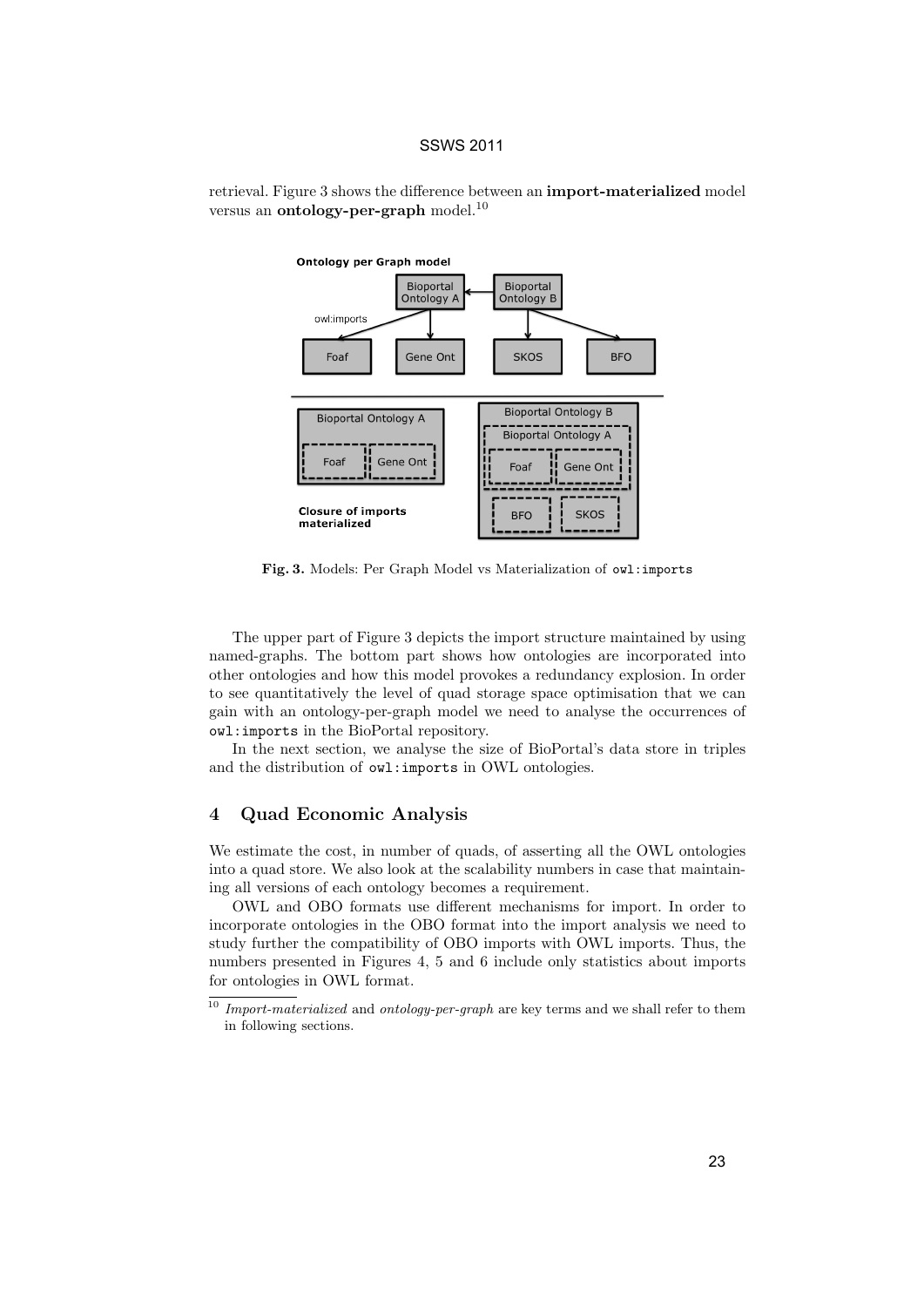



Fig. 3. Models: Per Graph Model vs Materialization of owl:imports

The upper part of Figure 3 depicts the import structure maintained by using named-graphs. The bottom part shows how ontologies are incorporated into other ontologies and how this model provokes a redundancy explosion. In order to see quantitatively the level of quad storage space optimisation that we can gain with an ontology-per-graph model we need to analyse the occurrences of owl:imports in the BioPortal repository.

In the next section, we analyse the size of BioPortal's data store in triples and the distribution of owl:imports in OWL ontologies.

#### 4 Quad Economic Analysis

We estimate the cost, in number of quads, of asserting all the OWL ontologies into a quad store. We also look at the scalability numbers in case that maintaining all versions of each ontology becomes a requirement.

OWL and OBO formats use different mechanisms for import. In order to incorporate ontologies in the OBO format into the import analysis we need to study further the compatibility of OBO imports with OWL imports. Thus, the numbers presented in Figures 4, 5 and 6 include only statistics about imports for ontologies in OWL format.

 $^\mathrm{10}$  Import-materialized and ontology-per-graph are key terms and we shall refer to them in following sections.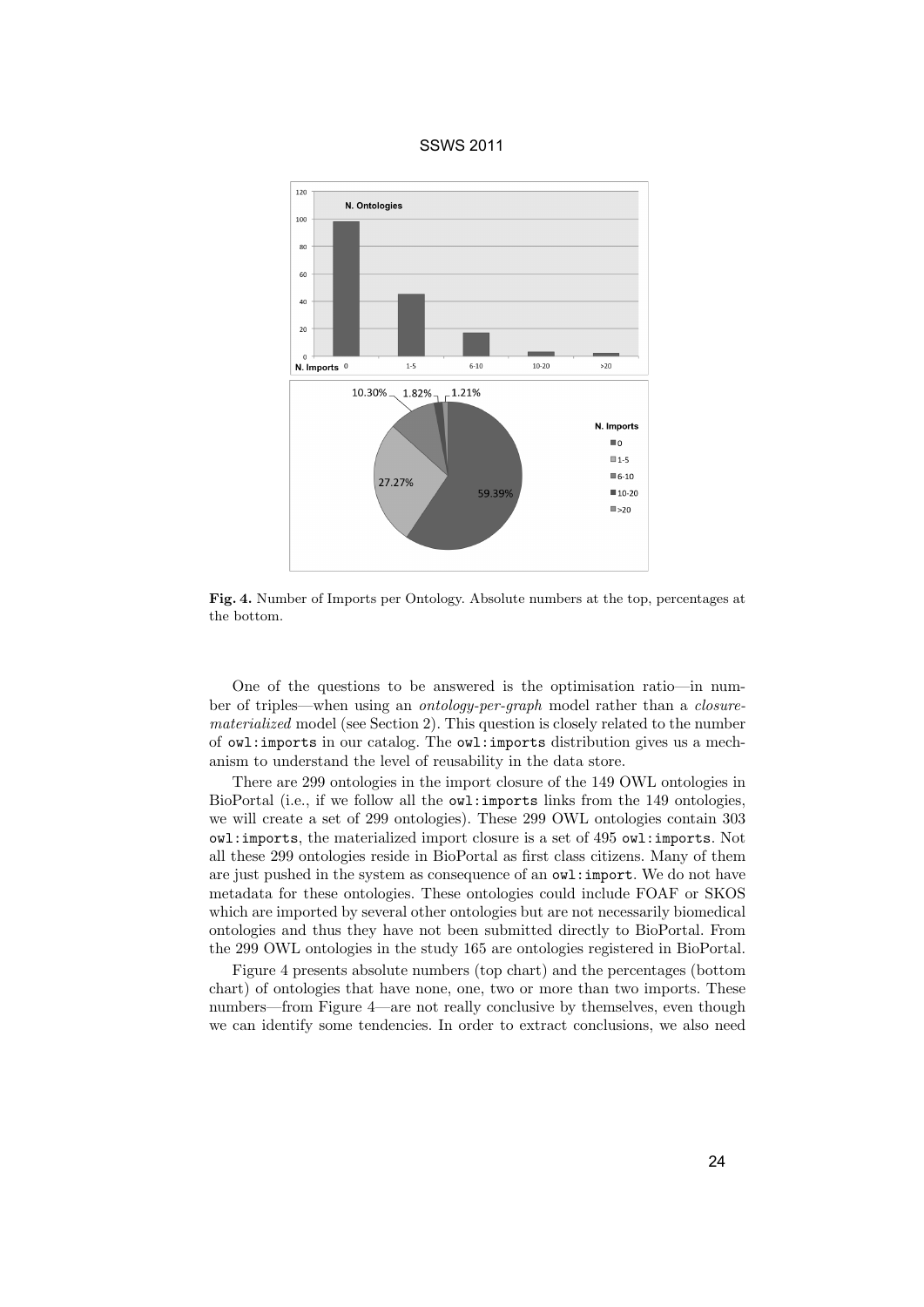

Fig. 4. Number of Imports per Ontology. Absolute numbers at the top, percentages at the bottom.

One of the questions to be answered is the optimisation ratio—in number of triples—when using an ontology-per-graph model rather than a closurematerialized model (see Section 2). This question is closely related to the number of owl:imports in our catalog. The owl:imports distribution gives us a mechanism to understand the level of reusability in the data store.

There are 299 ontologies in the import closure of the 149 OWL ontologies in BioPortal (i.e., if we follow all the owl:imports links from the 149 ontologies, we will create a set of 299 ontologies). These 299 OWL ontologies contain 303 owl:imports, the materialized import closure is a set of 495 owl:imports. Not all these 299 ontologies reside in BioPortal as first class citizens. Many of them are just pushed in the system as consequence of an owl:import. We do not have metadata for these ontologies. These ontologies could include FOAF or SKOS which are imported by several other ontologies but are not necessarily biomedical ontologies and thus they have not been submitted directly to BioPortal. From the 299 OWL ontologies in the study 165 are ontologies registered in BioPortal.

Figure 4 presents absolute numbers (top chart) and the percentages (bottom chart) of ontologies that have none, one, two or more than two imports. These numbers—from Figure 4—are not really conclusive by themselves, even though we can identify some tendencies. In order to extract conclusions, we also need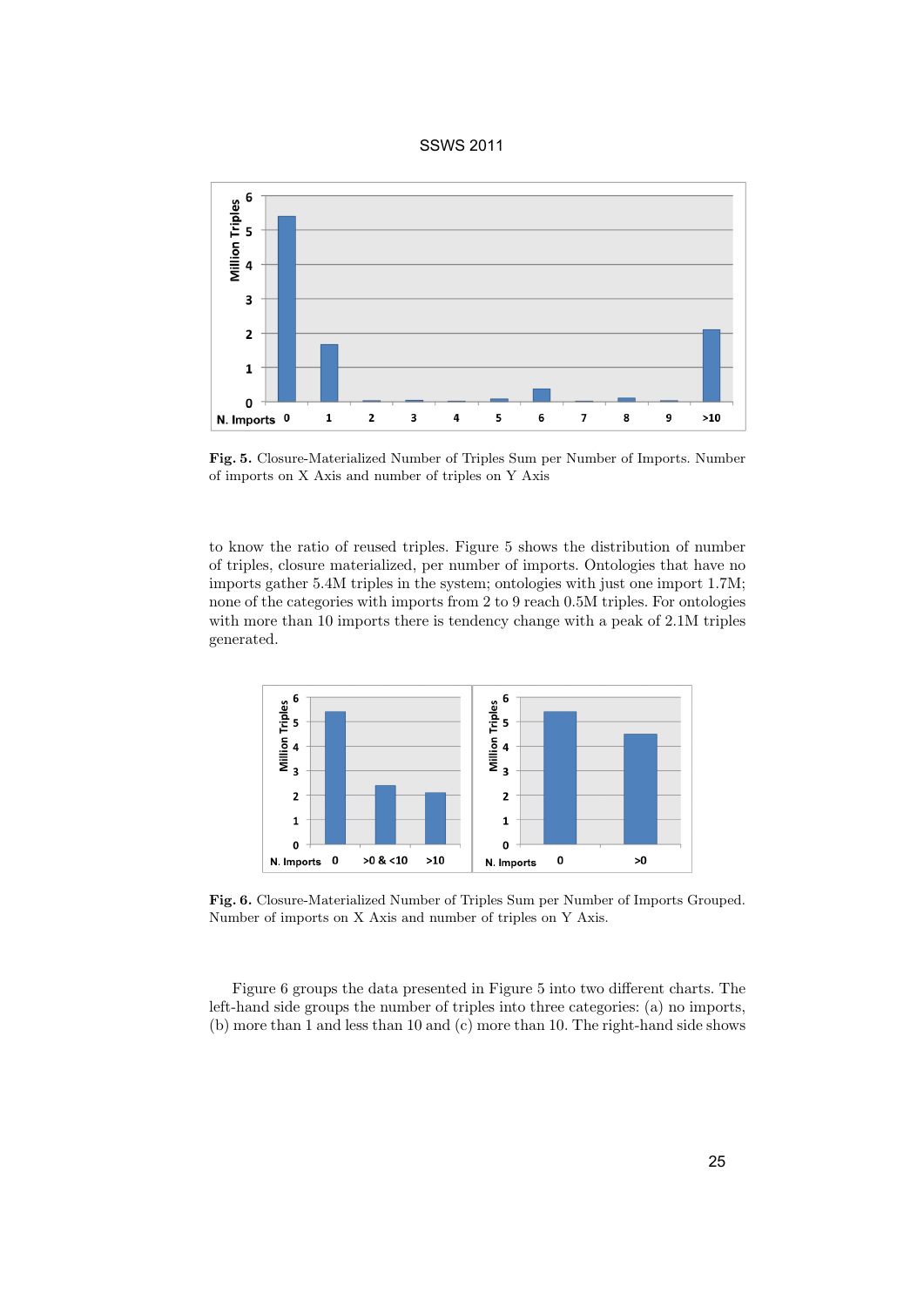

Fig. 5. Closure-Materialized Number of Triples Sum per Number of Imports. Number of imports on X Axis and number of triples on Y Axis

to know the ratio of reused triples. Figure 5 shows the distribution of number of triples, closure materialized, per number of imports. Ontologies that have no imports gather 5.4M triples in the system; ontologies with just one import 1.7M; none of the categories with imports from 2 to 9 reach 0.5M triples. For ontologies with more than 10 imports there is tendency change with a peak of  $2.1M$  triples generated.



Fig. 6. Closure-Materialized Number of Triples Sum per Number of Imports Grouped. Number of imports on X Axis and number of triples on Y Axis.

Figure 6 groups the data presented in Figure 5 into two different charts. The left-hand side groups the number of triples into three categories: (a) no imports, (b) more than 1 and less than 10 and (c) more than 10. The right-hand side shows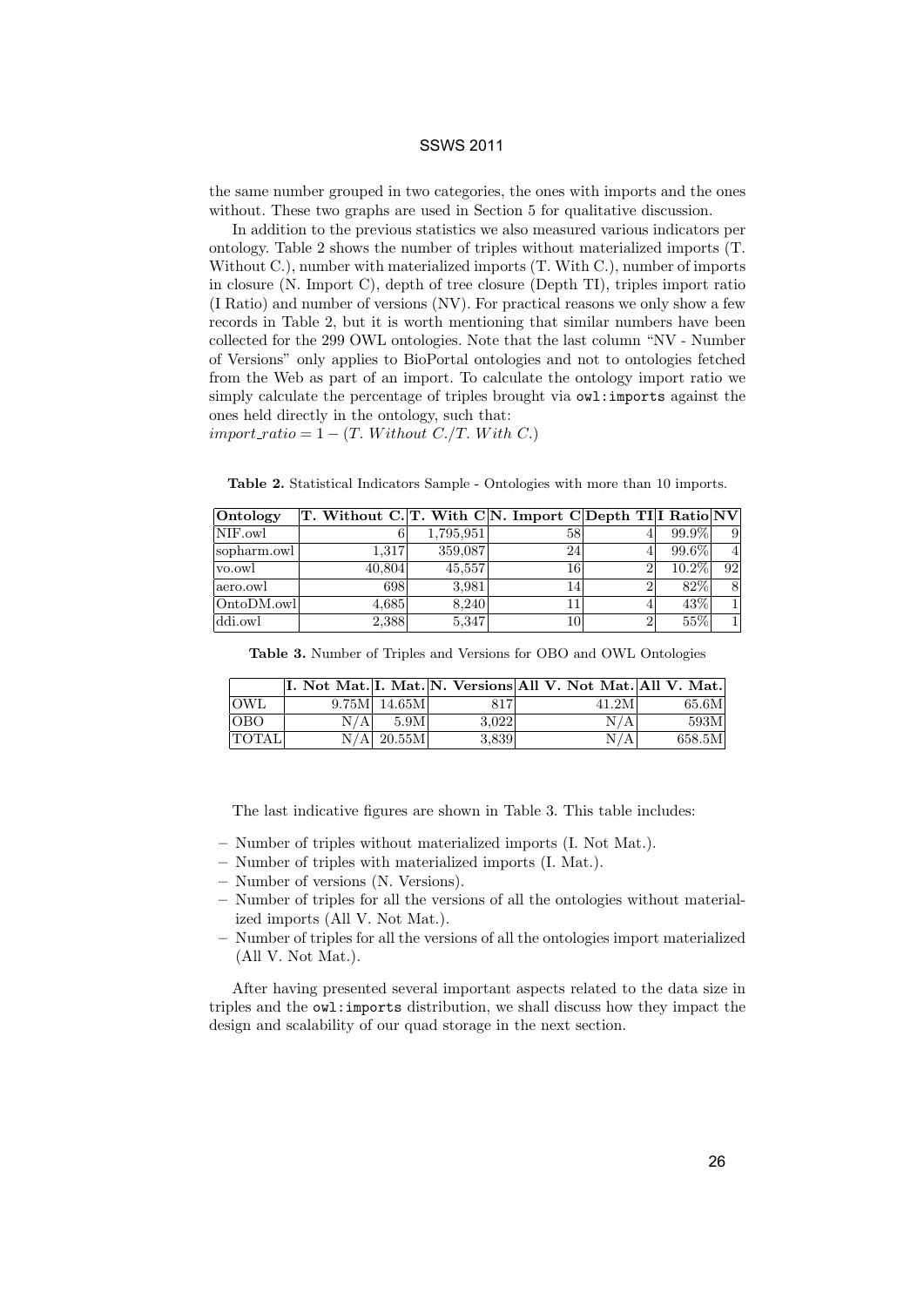the same number grouped in two categories, the ones with imports and the ones without. These two graphs are used in Section 5 for qualitative discussion.

In addition to the previous statistics we also measured various indicators per ontology. Table 2 shows the number of triples without materialized imports (T. Without C.), number with materialized imports (T. With C.), number of imports in closure (N. Import C), depth of tree closure (Depth TI), triples import ratio (I Ratio) and number of versions (NV). For practical reasons we only show a few records in Table 2, but it is worth mentioning that similar numbers have been collected for the 299 OWL ontologies. Note that the last column "NV - Number of Versions" only applies to BioPortal ontologies and not to ontologies fetched from the Web as part of an import. To calculate the ontology import ratio we simply calculate the percentage of triples brought via owl:imports against the ones held directly in the ontology, such that:

 $import\_ratio = 1 - (T. Without C./T. With C.)$ 

Table 2. Statistical Indicators Sample - Ontologies with more than 10 imports.

| $\sqrt{\frac{1}{2}}$ | T. Without C. T. With C N. Import C Depth TI I Ratio NV |           |                 |          |    |
|----------------------|---------------------------------------------------------|-----------|-----------------|----------|----|
| NIF.owl              |                                                         | 1,795,951 | 58              | 99.9%    |    |
| sopharm.owl          | 1.317                                                   | 359,087   | 24 <sub>1</sub> | 99.6%    |    |
| vo.owl               | 40,804                                                  | 45,557    | 16              | $10.2\%$ | 92 |
| aero.owl             | 698                                                     | 3,981     | 14              | 82%      |    |
| OntoDM.owl           | 4.685                                                   | 8.240     |                 | 43%      |    |
| ddi.owl              | 2,388                                                   | 5,347     | 10              | 55%      |    |

Table 3. Number of Triples and Versions for OBO and OWL Ontologies

|              |     |                   |       | II. Not Mat. I. Mat. N. Versions All V. Not Mat. All V. Mat. |        |
|--------------|-----|-------------------|-------|--------------------------------------------------------------|--------|
| OWL.         |     | $9.75M$ 14.65M    | 817   | 41.2M                                                        | 65.6M  |
| <b>OBO</b>   | N/A | 5.9M <sub>l</sub> | 3.022 | N/A                                                          | 593M   |
| <b>TOTAL</b> |     | $N/A$ 20.55M      | 3,839 | N/A                                                          | 658.5M |

The last indicative figures are shown in Table 3. This table includes:

- Number of triples without materialized imports (I. Not Mat.).
- Number of triples with materialized imports (I. Mat.).
- Number of versions (N. Versions).
- Number of triples for all the versions of all the ontologies without materialized imports (All V. Not Mat.).
- Number of triples for all the versions of all the ontologies import materialized (All V. Not Mat.).

After having presented several important aspects related to the data size in triples and the owl:imports distribution, we shall discuss how they impact the design and scalability of our quad storage in the next section.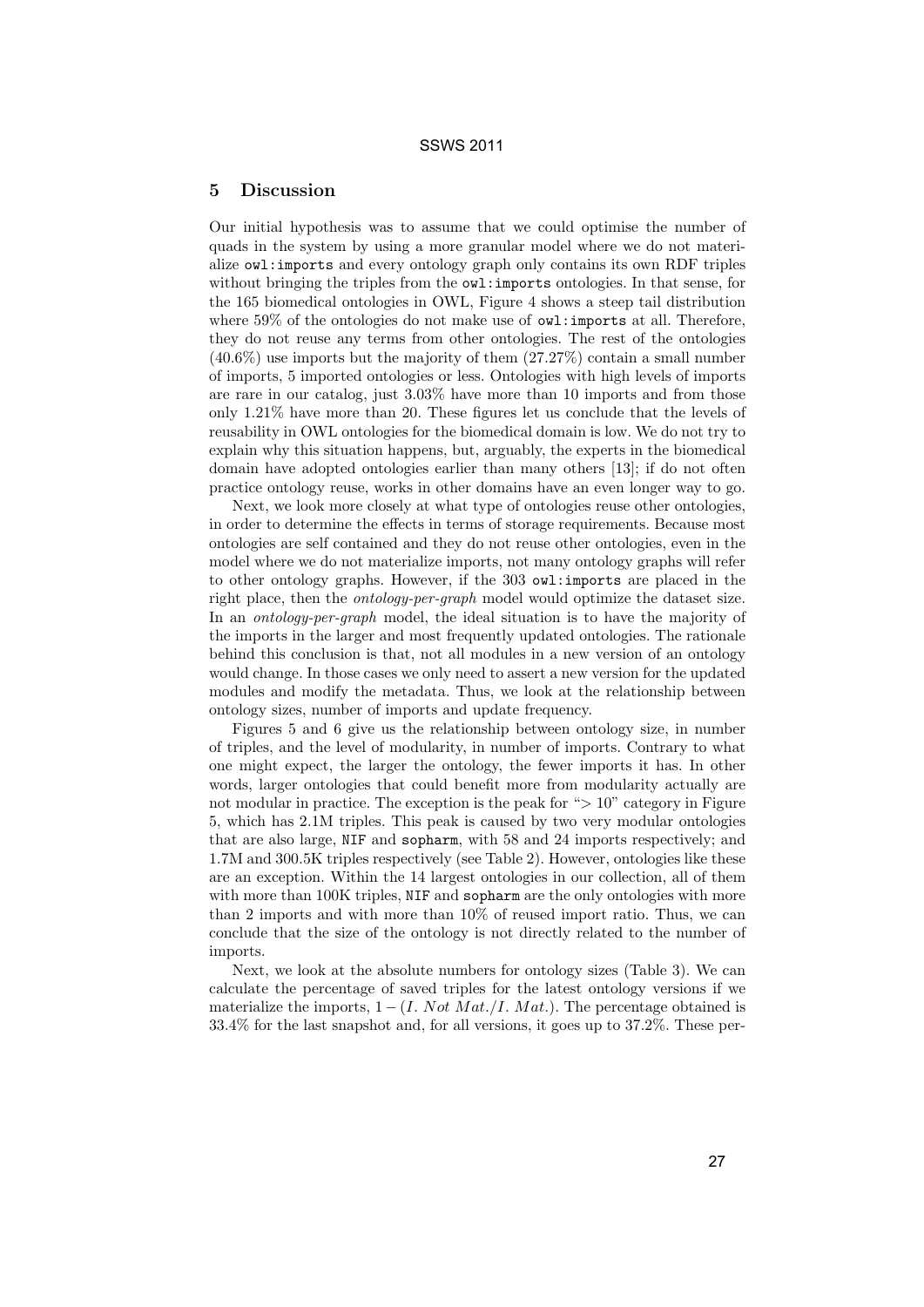#### 5 Discussion

Our initial hypothesis was to assume that we could optimise the number of quads in the system by using a more granular model where we do not materialize owl:imports and every ontology graph only contains its own RDF triples without bringing the triples from the  $\alpha \nu l$ : imports ontologies. In that sense, for the 165 biomedical ontologies in OWL, Figure 4 shows a steep tail distribution where 59% of the ontologies do not make use of  $ovl:$  imports at all. Therefore, they do not reuse any terms from other ontologies. The rest of the ontologies  $(40.6\%)$  use imports but the majority of them  $(27.27\%)$  contain a small number of imports, 5 imported ontologies or less. Ontologies with high levels of imports are rare in our catalog, just 3.03% have more than 10 imports and from those only 1.21% have more than 20. These figures let us conclude that the levels of reusability in OWL ontologies for the biomedical domain is low. We do not try to explain why this situation happens, but, arguably, the experts in the biomedical domain have adopted ontologies earlier than many others [13]; if do not often practice ontology reuse, works in other domains have an even longer way to go.

Next, we look more closely at what type of ontologies reuse other ontologies, in order to determine the effects in terms of storage requirements. Because most ontologies are self contained and they do not reuse other ontologies, even in the model where we do not materialize imports, not many ontology graphs will refer to other ontology graphs. However, if the 303 owl:imports are placed in the right place, then the ontology-per-graph model would optimize the dataset size. In an *ontology-per-graph* model, the ideal situation is to have the majority of the imports in the larger and most frequently updated ontologies. The rationale behind this conclusion is that, not all modules in a new version of an ontology would change. In those cases we only need to assert a new version for the updated modules and modify the metadata. Thus, we look at the relationship between ontology sizes, number of imports and update frequency.

Figures 5 and 6 give us the relationship between ontology size, in number of triples, and the level of modularity, in number of imports. Contrary to what one might expect, the larger the ontology, the fewer imports it has. In other words, larger ontologies that could benefit more from modularity actually are not modular in practice. The exception is the peak for "> 10" category in Figure 5, which has 2.1M triples. This peak is caused by two very modular ontologies that are also large, NIF and sopharm, with 58 and 24 imports respectively; and 1.7M and 300.5K triples respectively (see Table 2). However, ontologies like these are an exception. Within the 14 largest ontologies in our collection, all of them with more than 100K triples, NIF and sopharm are the only ontologies with more than 2 imports and with more than 10% of reused import ratio. Thus, we can conclude that the size of the ontology is not directly related to the number of imports.

Next, we look at the absolute numbers for ontology sizes (Table 3). We can calculate the percentage of saved triples for the latest ontology versions if we materialize the imports,  $1 - (I. Not Mat. / I. Mat.)$ . The percentage obtained is 33.4% for the last snapshot and, for all versions, it goes up to 37.2%. These per-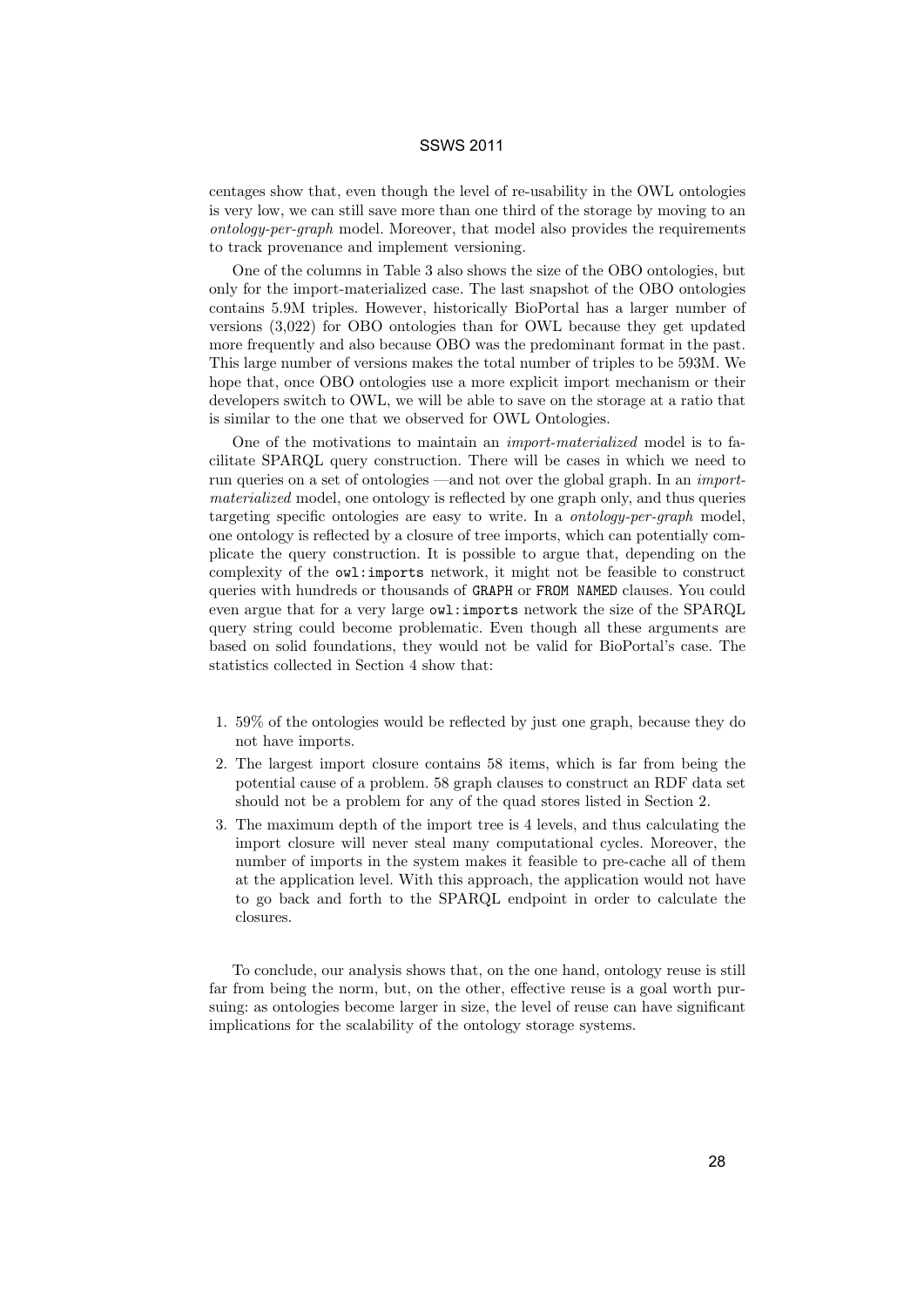centages show that, even though the level of re-usability in the OWL ontologies is very low, we can still save more than one third of the storage by moving to an ontology-per-graph model. Moreover, that model also provides the requirements to track provenance and implement versioning.

One of the columns in Table 3 also shows the size of the OBO ontologies, but only for the import-materialized case. The last snapshot of the OBO ontologies contains 5.9M triples. However, historically BioPortal has a larger number of versions (3,022) for OBO ontologies than for OWL because they get updated more frequently and also because OBO was the predominant format in the past. This large number of versions makes the total number of triples to be 593M. We hope that, once OBO ontologies use a more explicit import mechanism or their developers switch to OWL, we will be able to save on the storage at a ratio that is similar to the one that we observed for OWL Ontologies.

One of the motivations to maintain an import-materialized model is to facilitate SPARQL query construction. There will be cases in which we need to run queries on a set of ontologies —and not over the global graph. In an *import*materialized model, one ontology is reflected by one graph only, and thus queries targeting specific ontologies are easy to write. In a ontology-per-graph model, one ontology is reflected by a closure of tree imports, which can potentially complicate the query construction. It is possible to argue that, depending on the complexity of the owl:imports network, it might not be feasible to construct queries with hundreds or thousands of GRAPH or FROM NAMED clauses. You could even argue that for a very large owl:imports network the size of the SPARQL query string could become problematic. Even though all these arguments are based on solid foundations, they would not be valid for BioPortal's case. The statistics collected in Section 4 show that:

- 1. 59% of the ontologies would be reflected by just one graph, because they do not have imports.
- 2. The largest import closure contains 58 items, which is far from being the potential cause of a problem. 58 graph clauses to construct an RDF data set should not be a problem for any of the quad stores listed in Section 2.
- 3. The maximum depth of the import tree is 4 levels, and thus calculating the import closure will never steal many computational cycles. Moreover, the number of imports in the system makes it feasible to pre-cache all of them at the application level. With this approach, the application would not have to go back and forth to the SPARQL endpoint in order to calculate the closures.

To conclude, our analysis shows that, on the one hand, ontology reuse is still far from being the norm, but, on the other, effective reuse is a goal worth pursuing: as ontologies become larger in size, the level of reuse can have significant implications for the scalability of the ontology storage systems.